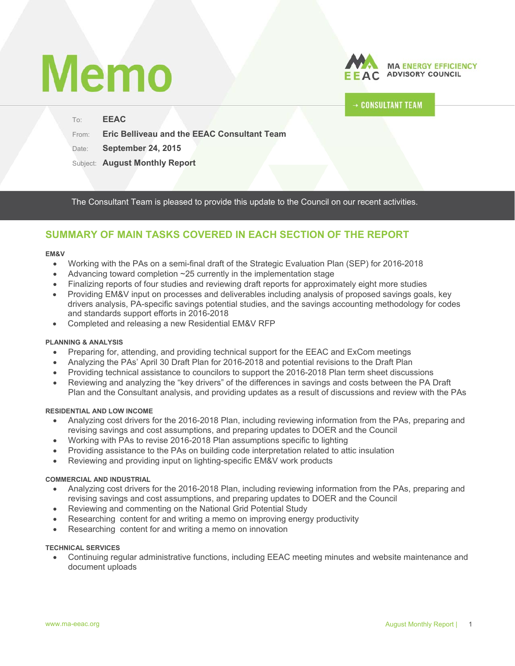# **Memo**



# **CONSULTANT TEAM**

To: **EEAC**  From: **Eric Belliveau and the EEAC Consultant Team** Date: **September 24, 2015**

Subject: **August Monthly Report**

The Consultant Team is pleased to provide this update to the Council on our recent activities.

# **SUMMARY OF MAIN TASKS COVERED IN EACH SECTION OF THE REPORT**

#### **EM&V**

- Working with the PAs on a semi-final draft of the Strategic Evaluation Plan (SEP) for 2016-2018
- Advancing toward completion ~25 currently in the implementation stage
- Finalizing reports of four studies and reviewing draft reports for approximately eight more studies
- Providing EM&V input on processes and deliverables including analysis of proposed savings goals, key drivers analysis, PA-specific savings potential studies, and the savings accounting methodology for codes and standards support efforts in 2016-2018
- Completed and releasing a new Residential EM&V RFP

#### **PLANNING & ANALYSIS**

- Preparing for, attending, and providing technical support for the EEAC and ExCom meetings
- Analyzing the PAs' April 30 Draft Plan for 2016-2018 and potential revisions to the Draft Plan
- Providing technical assistance to councilors to support the 2016-2018 Plan term sheet discussions
- Reviewing and analyzing the "key drivers" of the differences in savings and costs between the PA Draft Plan and the Consultant analysis, and providing updates as a result of discussions and review with the PAs

#### **RESIDENTIAL AND LOW INCOME**

- Analyzing cost drivers for the 2016-2018 Plan, including reviewing information from the PAs, preparing and revising savings and cost assumptions, and preparing updates to DOER and the Council
- Working with PAs to revise 2016-2018 Plan assumptions specific to lighting
- Providing assistance to the PAs on building code interpretation related to attic insulation
- Reviewing and providing input on lighting-specific EM&V work products

#### **COMMERCIAL AND INDUSTRIAL**

- Analyzing cost drivers for the 2016-2018 Plan, including reviewing information from the PAs, preparing and revising savings and cost assumptions, and preparing updates to DOER and the Council
- Reviewing and commenting on the National Grid Potential Study
- Researching content for and writing a memo on improving energy productivity
- Researching content for and writing a memo on innovation

#### **TECHNICAL SERVICES**

 Continuing regular administrative functions, including EEAC meeting minutes and website maintenance and document uploads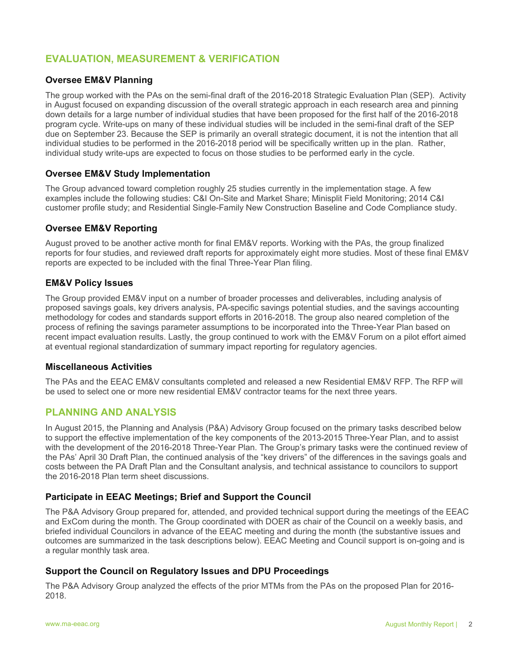# **EVALUATION, MEASUREMENT & VERIFICATION**

## **Oversee EM&V Planning**

The group worked with the PAs on the semi-final draft of the 2016-2018 Strategic Evaluation Plan (SEP). Activity in August focused on expanding discussion of the overall strategic approach in each research area and pinning down details for a large number of individual studies that have been proposed for the first half of the 2016-2018 program cycle. Write-ups on many of these individual studies will be included in the semi-final draft of the SEP due on September 23. Because the SEP is primarily an overall strategic document, it is not the intention that all individual studies to be performed in the 2016-2018 period will be specifically written up in the plan. Rather, individual study write-ups are expected to focus on those studies to be performed early in the cycle.

#### **Oversee EM&V Study Implementation**

The Group advanced toward completion roughly 25 studies currently in the implementation stage. A few examples include the following studies: C&I On-Site and Market Share; Minisplit Field Monitoring; 2014 C&I customer profile study; and Residential Single-Family New Construction Baseline and Code Compliance study.

#### **Oversee EM&V Reporting**

August proved to be another active month for final EM&V reports. Working with the PAs, the group finalized reports for four studies, and reviewed draft reports for approximately eight more studies. Most of these final EM&V reports are expected to be included with the final Three-Year Plan filing.

#### **EM&V Policy Issues**

The Group provided EM&V input on a number of broader processes and deliverables, including analysis of proposed savings goals, key drivers analysis, PA-specific savings potential studies, and the savings accounting methodology for codes and standards support efforts in 2016-2018. The group also neared completion of the process of refining the savings parameter assumptions to be incorporated into the Three-Year Plan based on recent impact evaluation results. Lastly, the group continued to work with the EM&V Forum on a pilot effort aimed at eventual regional standardization of summary impact reporting for regulatory agencies.

#### **Miscellaneous Activities**

The PAs and the EEAC EM&V consultants completed and released a new Residential EM&V RFP. The RFP will be used to select one or more new residential EM&V contractor teams for the next three years.

# **PLANNING AND ANALYSIS**

In August 2015, the Planning and Analysis (P&A) Advisory Group focused on the primary tasks described below to support the effective implementation of the key components of the 2013-2015 Three-Year Plan, and to assist with the development of the 2016-2018 Three-Year Plan. The Group's primary tasks were the continued review of the PAs' April 30 Draft Plan, the continued analysis of the "key drivers" of the differences in the savings goals and costs between the PA Draft Plan and the Consultant analysis, and technical assistance to councilors to support the 2016-2018 Plan term sheet discussions.

#### **Participate in EEAC Meetings; Brief and Support the Council**

The P&A Advisory Group prepared for, attended, and provided technical support during the meetings of the EEAC and ExCom during the month. The Group coordinated with DOER as chair of the Council on a weekly basis, and briefed individual Councilors in advance of the EEAC meeting and during the month (the substantive issues and outcomes are summarized in the task descriptions below). EEAC Meeting and Council support is on-going and is a regular monthly task area.

# **Support the Council on Regulatory Issues and DPU Proceedings**

The P&A Advisory Group analyzed the effects of the prior MTMs from the PAs on the proposed Plan for 2016- 2018.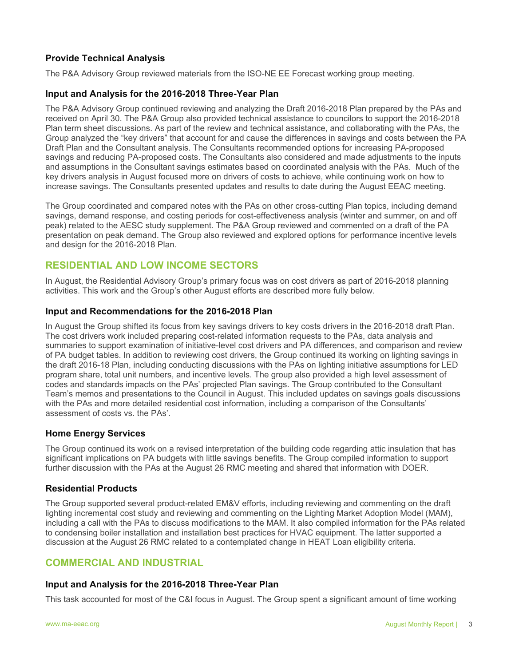# **Provide Technical Analysis**

The P&A Advisory Group reviewed materials from the ISO-NE EE Forecast working group meeting.

## **Input and Analysis for the 2016-2018 Three-Year Plan**

The P&A Advisory Group continued reviewing and analyzing the Draft 2016-2018 Plan prepared by the PAs and received on April 30. The P&A Group also provided technical assistance to councilors to support the 2016-2018 Plan term sheet discussions. As part of the review and technical assistance, and collaborating with the PAs, the Group analyzed the "key drivers" that account for and cause the differences in savings and costs between the PA Draft Plan and the Consultant analysis. The Consultants recommended options for increasing PA-proposed savings and reducing PA-proposed costs. The Consultants also considered and made adjustments to the inputs and assumptions in the Consultant savings estimates based on coordinated analysis with the PAs. Much of the key drivers analysis in August focused more on drivers of costs to achieve, while continuing work on how to increase savings. The Consultants presented updates and results to date during the August EEAC meeting.

The Group coordinated and compared notes with the PAs on other cross-cutting Plan topics, including demand savings, demand response, and costing periods for cost-effectiveness analysis (winter and summer, on and off peak) related to the AESC study supplement. The P&A Group reviewed and commented on a draft of the PA presentation on peak demand. The Group also reviewed and explored options for performance incentive levels and design for the 2016-2018 Plan.

# **RESIDENTIAL AND LOW INCOME SECTORS**

In August, the Residential Advisory Group's primary focus was on cost drivers as part of 2016-2018 planning activities. This work and the Group's other August efforts are described more fully below.

#### **Input and Recommendations for the 2016-2018 Plan**

In August the Group shifted its focus from key savings drivers to key costs drivers in the 2016-2018 draft Plan. The cost drivers work included preparing cost-related information requests to the PAs, data analysis and summaries to support examination of initiative-level cost drivers and PA differences, and comparison and review of PA budget tables. In addition to reviewing cost drivers, the Group continued its working on lighting savings in the draft 2016-18 Plan, including conducting discussions with the PAs on lighting initiative assumptions for LED program share, total unit numbers, and incentive levels. The group also provided a high level assessment of codes and standards impacts on the PAs' projected Plan savings. The Group contributed to the Consultant Team's memos and presentations to the Council in August. This included updates on savings goals discussions with the PAs and more detailed residential cost information, including a comparison of the Consultants' assessment of costs vs. the PAs'.

#### **Home Energy Services**

The Group continued its work on a revised interpretation of the building code regarding attic insulation that has significant implications on PA budgets with little savings benefits. The Group compiled information to support further discussion with the PAs at the August 26 RMC meeting and shared that information with DOER.

#### **Residential Products**

The Group supported several product-related EM&V efforts, including reviewing and commenting on the draft lighting incremental cost study and reviewing and commenting on the Lighting Market Adoption Model (MAM), including a call with the PAs to discuss modifications to the MAM. It also compiled information for the PAs related to condensing boiler installation and installation best practices for HVAC equipment. The latter supported a discussion at the August 26 RMC related to a contemplated change in HEAT Loan eligibility criteria.

# **COMMERCIAL AND INDUSTRIAL**

#### **Input and Analysis for the 2016-2018 Three-Year Plan**

This task accounted for most of the C&I focus in August. The Group spent a significant amount of time working